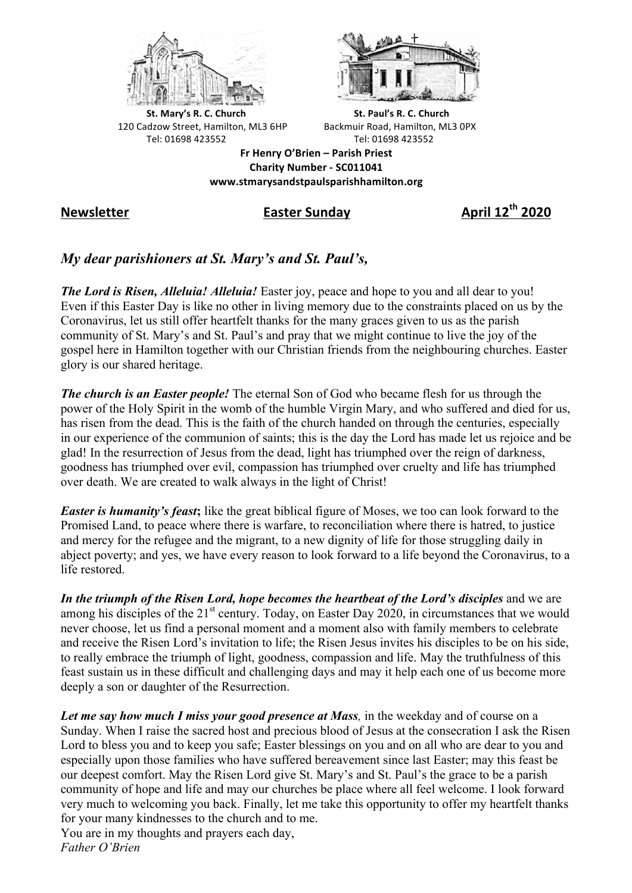



**St.** Mary's R. C. Church St. Paul's R. C. Church 120 Cadzow Street, Hamilton, ML3 6HP Backmuir Road, Hamilton, ML3 0PX Tel: 01698 423552 Tel: 01698 423552

**Fr Henry O'Brien – Parish Priest Charity Number - SC011041 www.stmarysandstpaulsparishhamilton.org**

**Newsletter Easter Sunday April 12th 2020**

## *My dear parishioners at St. Mary's and St. Paul's,*

*The Lord is Risen, Alleluia! Alleluia!* Easter joy, peace and hope to you and all dear to you! Even if this Easter Day is like no other in living memory due to the constraints placed on us by the Coronavirus, let us still offer heartfelt thanks for the many graces given to us as the parish community of St. Mary's and St. Paul's and pray that we might continue to live the joy of the gospel here in Hamilton together with our Christian friends from the neighbouring churches. Easter glory is our shared heritage.

*The church is an Easter people!* The eternal Son of God who became flesh for us through the power of the Holy Spirit in the womb of the humble Virgin Mary, and who suffered and died for us, has risen from the dead. This is the faith of the church handed on through the centuries, especially in our experience of the communion of saints; this is the day the Lord has made let us rejoice and be glad! In the resurrection of Jesus from the dead, light has triumphed over the reign of darkness, goodness has triumphed over evil, compassion has triumphed over cruelty and life has triumphed over death. We are created to walk always in the light of Christ!

*Easter is humanity's feast***;** like the great biblical figure of Moses, we too can look forward to the Promised Land, to peace where there is warfare, to reconciliation where there is hatred, to justice and mercy for the refugee and the migrant, to a new dignity of life for those struggling daily in abject poverty; and yes, we have every reason to look forward to a life beyond the Coronavirus, to a life restored.

In the triumph of the Risen Lord, hope becomes the heartbeat of the Lord's disciples and we are among his disciples of the 21<sup>st</sup> century. Today, on Easter Day 2020, in circumstances that we would never choose, let us find a personal moment and a moment also with family members to celebrate and receive the Risen Lord's invitation to life; the Risen Jesus invites his disciples to be on his side, to really embrace the triumph of light, goodness, compassion and life. May the truthfulness of this feast sustain us in these difficult and challenging days and may it help each one of us become more deeply a son or daughter of the Resurrection.

*Let me say how much I miss your good presence at Mass,* in the weekday and of course on a Sunday. When I raise the sacred host and precious blood of Jesus at the consecration I ask the Risen Lord to bless you and to keep you safe; Easter blessings on you and on all who are dear to you and especially upon those families who have suffered bereavement since last Easter; may this feast be our deepest comfort. May the Risen Lord give St. Mary's and St. Paul's the grace to be a parish community of hope and life and may our churches be place where all feel welcome. I look forward very much to welcoming you back. Finally, let me take this opportunity to offer my heartfelt thanks for your many kindnesses to the church and to me. You are in my thoughts and prayers each day,

*Father O'Brien*